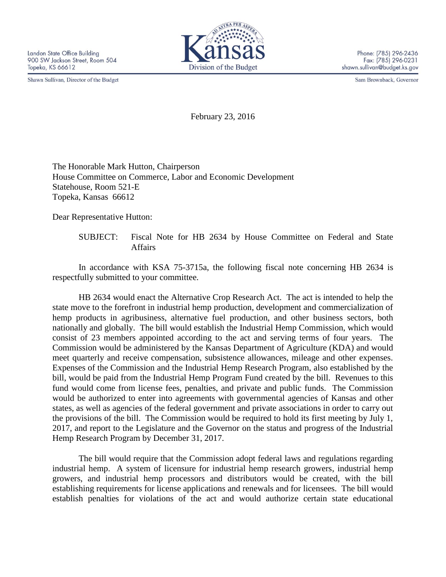Shawn Sullivan, Director of the Budget



Sam Brownback, Governor

February 23, 2016

The Honorable Mark Hutton, Chairperson House Committee on Commerce, Labor and Economic Development Statehouse, Room 521-E Topeka, Kansas 66612

Dear Representative Hutton:

SUBJECT: Fiscal Note for HB 2634 by House Committee on Federal and State Affairs

In accordance with KSA 75-3715a, the following fiscal note concerning HB 2634 is respectfully submitted to your committee.

HB 2634 would enact the Alternative Crop Research Act. The act is intended to help the state move to the forefront in industrial hemp production, development and commercialization of hemp products in agribusiness, alternative fuel production, and other business sectors, both nationally and globally. The bill would establish the Industrial Hemp Commission, which would consist of 23 members appointed according to the act and serving terms of four years. The Commission would be administered by the Kansas Department of Agriculture (KDA) and would meet quarterly and receive compensation, subsistence allowances, mileage and other expenses. Expenses of the Commission and the Industrial Hemp Research Program, also established by the bill, would be paid from the Industrial Hemp Program Fund created by the bill. Revenues to this fund would come from license fees, penalties, and private and public funds. The Commission would be authorized to enter into agreements with governmental agencies of Kansas and other states, as well as agencies of the federal government and private associations in order to carry out the provisions of the bill. The Commission would be required to hold its first meeting by July 1, 2017, and report to the Legislature and the Governor on the status and progress of the Industrial Hemp Research Program by December 31, 2017.

The bill would require that the Commission adopt federal laws and regulations regarding industrial hemp. A system of licensure for industrial hemp research growers, industrial hemp growers, and industrial hemp processors and distributors would be created, with the bill establishing requirements for license applications and renewals and for licensees. The bill would establish penalties for violations of the act and would authorize certain state educational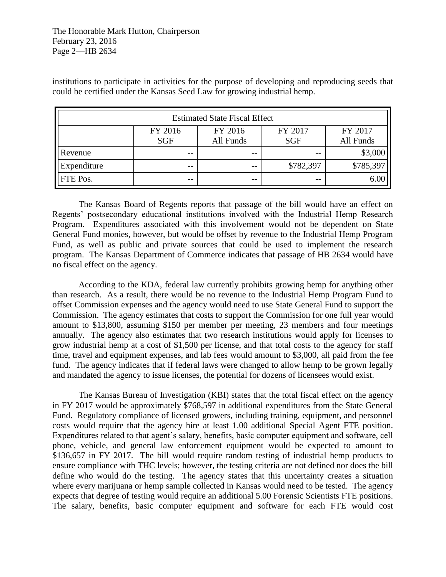institutions to participate in activities for the purpose of developing and reproducing seeds that could be certified under the Kansas Seed Law for growing industrial hemp.

| <b>Estimated State Fiscal Effect</b> |            |           |            |           |
|--------------------------------------|------------|-----------|------------|-----------|
|                                      | FY 2016    | FY 2016   | FY 2017    | FY 2017   |
|                                      | <b>SGF</b> | All Funds | <b>SGF</b> | All Funds |
| Revenue                              | --         | $- -$     |            | \$3,000   |
| Expenditure                          | --         | $ -$      | \$782,397  | \$785,397 |
| FTE Pos.                             | --         | $- -$     | --         | 6.00      |

The Kansas Board of Regents reports that passage of the bill would have an effect on Regents' postsecondary educational institutions involved with the Industrial Hemp Research Program. Expenditures associated with this involvement would not be dependent on State General Fund monies, however, but would be offset by revenue to the Industrial Hemp Program Fund, as well as public and private sources that could be used to implement the research program. The Kansas Department of Commerce indicates that passage of HB 2634 would have no fiscal effect on the agency.

According to the KDA, federal law currently prohibits growing hemp for anything other than research. As a result, there would be no revenue to the Industrial Hemp Program Fund to offset Commission expenses and the agency would need to use State General Fund to support the Commission. The agency estimates that costs to support the Commission for one full year would amount to \$13,800, assuming \$150 per member per meeting, 23 members and four meetings annually. The agency also estimates that two research institutions would apply for licenses to grow industrial hemp at a cost of \$1,500 per license, and that total costs to the agency for staff time, travel and equipment expenses, and lab fees would amount to \$3,000, all paid from the fee fund. The agency indicates that if federal laws were changed to allow hemp to be grown legally and mandated the agency to issue licenses, the potential for dozens of licensees would exist.

The Kansas Bureau of Investigation (KBI) states that the total fiscal effect on the agency in FY 2017 would be approximately \$768,597 in additional expenditures from the State General Fund. Regulatory compliance of licensed growers, including training, equipment, and personnel costs would require that the agency hire at least 1.00 additional Special Agent FTE position. Expenditures related to that agent's salary, benefits, basic computer equipment and software, cell phone, vehicle, and general law enforcement equipment would be expected to amount to \$136,657 in FY 2017. The bill would require random testing of industrial hemp products to ensure compliance with THC levels; however, the testing criteria are not defined nor does the bill define who would do the testing. The agency states that this uncertainty creates a situation where every marijuana or hemp sample collected in Kansas would need to be tested. The agency expects that degree of testing would require an additional 5.00 Forensic Scientists FTE positions. The salary, benefits, basic computer equipment and software for each FTE would cost